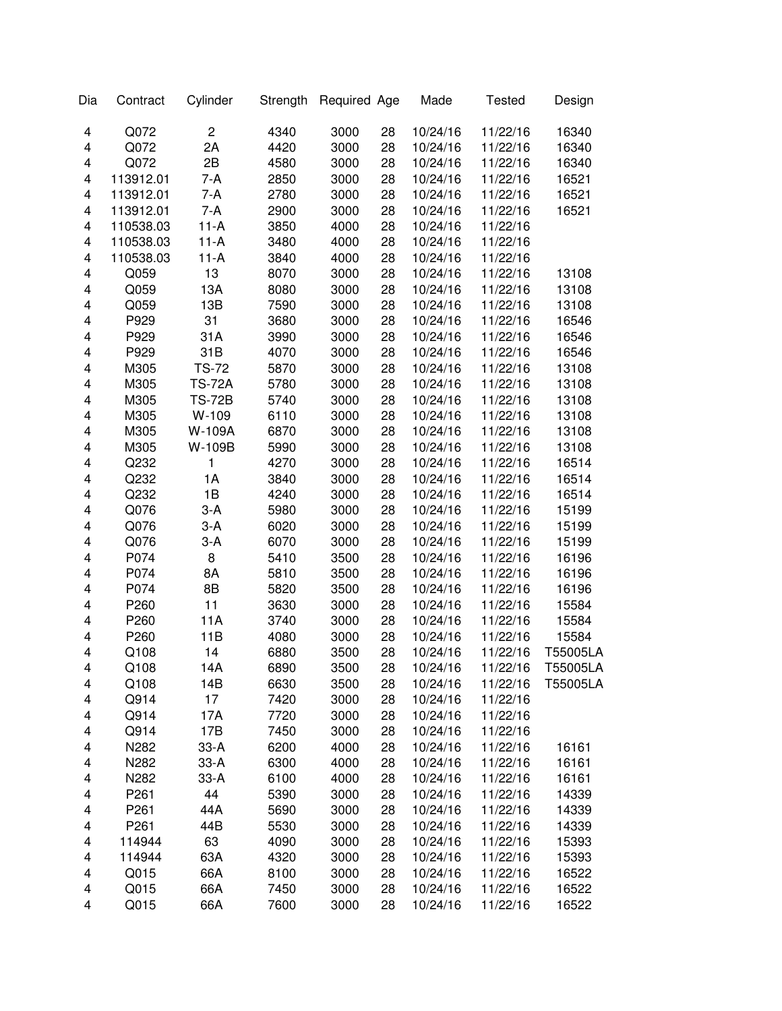| Dia                     | Contract         | Cylinder                | Strength | Required Age |    | Made     | <b>Tested</b> | Design   |
|-------------------------|------------------|-------------------------|----------|--------------|----|----------|---------------|----------|
| 4                       | Q072             | $\overline{\mathbf{c}}$ | 4340     | 3000         | 28 | 10/24/16 | 11/22/16      | 16340    |
| 4                       | Q072             | 2A                      | 4420     | 3000         | 28 | 10/24/16 | 11/22/16      | 16340    |
| 4                       | Q072             | 2B                      | 4580     | 3000         | 28 | 10/24/16 | 11/22/16      | 16340    |
| 4                       | 113912.01        | 7-A                     | 2850     | 3000         | 28 | 10/24/16 | 11/22/16      | 16521    |
| 4                       | 113912.01        | $7-A$                   | 2780     | 3000         | 28 | 10/24/16 | 11/22/16      | 16521    |
| 4                       | 113912.01        | $7-A$                   | 2900     | 3000         | 28 | 10/24/16 | 11/22/16      | 16521    |
| 4                       | 110538.03        | $11-A$                  | 3850     | 4000         | 28 | 10/24/16 | 11/22/16      |          |
| $\overline{\mathbf{4}}$ | 110538.03        | $11-A$                  | 3480     | 4000         | 28 | 10/24/16 | 11/22/16      |          |
| 4                       | 110538.03        | $11-A$                  | 3840     | 4000         | 28 | 10/24/16 | 11/22/16      |          |
| 4                       | Q059             | 13                      | 8070     | 3000         | 28 | 10/24/16 | 11/22/16      | 13108    |
| 4                       | Q059             | 13A                     | 8080     | 3000         | 28 | 10/24/16 | 11/22/16      | 13108    |
| 4                       | Q059             | 13B                     | 7590     | 3000         | 28 | 10/24/16 | 11/22/16      | 13108    |
| 4                       | P929             | 31                      | 3680     | 3000         | 28 | 10/24/16 | 11/22/16      | 16546    |
| 4                       | P929             | 31A                     | 3990     | 3000         | 28 | 10/24/16 | 11/22/16      | 16546    |
| 4                       | P929             | 31B                     | 4070     | 3000         | 28 | 10/24/16 | 11/22/16      | 16546    |
| $\overline{\mathbf{4}}$ | M305             | <b>TS-72</b>            | 5870     | 3000         | 28 | 10/24/16 | 11/22/16      | 13108    |
| 4                       | M305             | <b>TS-72A</b>           | 5780     | 3000         | 28 | 10/24/16 | 11/22/16      | 13108    |
| 4                       | M305             | <b>TS-72B</b>           | 5740     | 3000         | 28 | 10/24/16 | 11/22/16      | 13108    |
| 4                       | M305             | W-109                   | 6110     | 3000         | 28 | 10/24/16 | 11/22/16      | 13108    |
| 4                       | M305             | W-109A                  | 6870     | 3000         | 28 | 10/24/16 | 11/22/16      | 13108    |
| 4                       | M305             | W-109B                  | 5990     | 3000         | 28 | 10/24/16 | 11/22/16      | 13108    |
| 4                       | Q232             | 1                       | 4270     | 3000         | 28 | 10/24/16 | 11/22/16      | 16514    |
| 4                       | Q232             | 1A                      | 3840     | 3000         | 28 | 10/24/16 | 11/22/16      | 16514    |
| 4                       | Q232             | 1B                      | 4240     | 3000         | 28 | 10/24/16 | 11/22/16      | 16514    |
| 4                       | Q076             | $3-A$                   | 5980     | 3000         | 28 | 10/24/16 | 11/22/16      | 15199    |
| 4                       | Q076             | $3-A$                   | 6020     | 3000         | 28 | 10/24/16 | 11/22/16      | 15199    |
| 4                       | Q076             | $3-A$                   | 6070     | 3000         | 28 | 10/24/16 | 11/22/16      | 15199    |
| 4                       | P074             | 8                       | 5410     | 3500         | 28 | 10/24/16 | 11/22/16      | 16196    |
| 4                       | P074             | 8A                      | 5810     | 3500         | 28 | 10/24/16 | 11/22/16      | 16196    |
| 4                       | P074             | 8B                      | 5820     | 3500         | 28 | 10/24/16 | 11/22/16      | 16196    |
| 4                       | P260             | 11                      | 3630     | 3000         | 28 | 10/24/16 | 11/22/16      | 15584    |
| 4                       | P260             | 11A                     | 3740     | 3000         | 28 | 10/24/16 | 11/22/16      | 15584    |
| 4                       | P260             | 11B                     | 4080     | 3000         | 28 | 10/24/16 | 11/22/16      | 15584    |
| 4                       | Q108             | 14                      | 6880     | 3500         | 28 | 10/24/16 | 11/22/16      | T55005LA |
| 4                       | Q108             | 14A                     | 6890     | 3500         | 28 | 10/24/16 | 11/22/16      | T55005LA |
| 4                       | Q108             | 14B                     | 6630     | 3500         | 28 | 10/24/16 | 11/22/16      | T55005LA |
| 4                       | Q914             | 17                      | 7420     | 3000         | 28 | 10/24/16 | 11/22/16      |          |
| 4                       | Q914             | 17A                     | 7720     | 3000         | 28 | 10/24/16 | 11/22/16      |          |
| 4                       | Q914             | 17B                     | 7450     | 3000         | 28 | 10/24/16 | 11/22/16      |          |
| 4                       | N282             | $33-A$                  | 6200     | 4000         | 28 | 10/24/16 | 11/22/16      | 16161    |
| 4                       | N282             | $33-A$                  | 6300     | 4000         | 28 | 10/24/16 | 11/22/16      | 16161    |
| 4                       | N282             | $33-A$                  | 6100     | 4000         | 28 | 10/24/16 | 11/22/16      | 16161    |
| 4                       | P <sub>261</sub> | 44                      | 5390     | 3000         | 28 | 10/24/16 | 11/22/16      | 14339    |
| 4                       | P <sub>261</sub> | 44A                     | 5690     | 3000         | 28 | 10/24/16 | 11/22/16      | 14339    |
| 4                       | P261             | 44B                     | 5530     | 3000         | 28 | 10/24/16 | 11/22/16      | 14339    |
| 4                       | 114944           | 63                      | 4090     | 3000         | 28 | 10/24/16 | 11/22/16      | 15393    |
| 4                       | 114944           | 63A                     | 4320     | 3000         | 28 | 10/24/16 | 11/22/16      | 15393    |
| 4                       | Q015             | 66A                     | 8100     | 3000         | 28 | 10/24/16 | 11/22/16      | 16522    |
| 4                       | Q015             | 66A                     | 7450     | 3000         | 28 | 10/24/16 | 11/22/16      | 16522    |
| 4                       | Q015             | 66A                     | 7600     | 3000         | 28 | 10/24/16 | 11/22/16      | 16522    |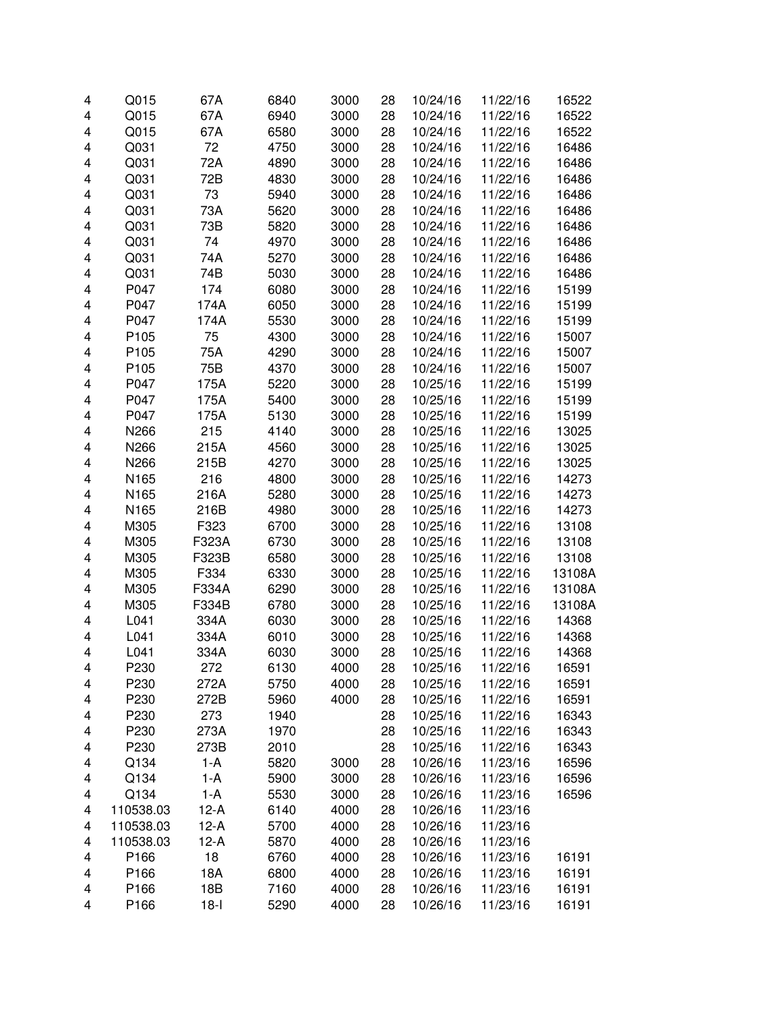| 4 | Q015      | 67A    | 6840 | 3000 | 28 | 10/24/16 | 11/22/16 | 16522  |
|---|-----------|--------|------|------|----|----------|----------|--------|
| 4 | Q015      | 67A    | 6940 | 3000 | 28 | 10/24/16 | 11/22/16 | 16522  |
| 4 | Q015      | 67A    | 6580 | 3000 | 28 | 10/24/16 | 11/22/16 | 16522  |
| 4 | Q031      | 72     | 4750 | 3000 | 28 | 10/24/16 | 11/22/16 | 16486  |
| 4 | Q031      | 72A    | 4890 | 3000 | 28 | 10/24/16 | 11/22/16 | 16486  |
| 4 | Q031      | 72B    | 4830 | 3000 | 28 | 10/24/16 | 11/22/16 | 16486  |
| 4 | Q031      | 73     | 5940 | 3000 | 28 | 10/24/16 | 11/22/16 | 16486  |
| 4 | Q031      | 73A    | 5620 | 3000 | 28 | 10/24/16 | 11/22/16 | 16486  |
| 4 | Q031      | 73B    | 5820 | 3000 | 28 | 10/24/16 | 11/22/16 | 16486  |
| 4 | Q031      | 74     | 4970 | 3000 | 28 | 10/24/16 | 11/22/16 | 16486  |
| 4 | Q031      | 74A    | 5270 | 3000 | 28 | 10/24/16 | 11/22/16 | 16486  |
| 4 | Q031      | 74B    | 5030 | 3000 | 28 | 10/24/16 | 11/22/16 | 16486  |
| 4 | P047      | 174    | 6080 | 3000 | 28 | 10/24/16 | 11/22/16 | 15199  |
| 4 | P047      | 174A   | 6050 | 3000 | 28 | 10/24/16 | 11/22/16 | 15199  |
| 4 | P047      | 174A   | 5530 | 3000 | 28 | 10/24/16 | 11/22/16 | 15199  |
| 4 | P105      | 75     | 4300 | 3000 | 28 | 10/24/16 | 11/22/16 | 15007  |
| 4 | P105      | 75A    | 4290 | 3000 | 28 | 10/24/16 | 11/22/16 | 15007  |
| 4 | P105      | 75B    | 4370 | 3000 | 28 | 10/24/16 | 11/22/16 | 15007  |
| 4 | P047      | 175A   | 5220 | 3000 | 28 | 10/25/16 | 11/22/16 | 15199  |
| 4 | P047      | 175A   | 5400 | 3000 | 28 | 10/25/16 | 11/22/16 | 15199  |
| 4 | P047      | 175A   | 5130 | 3000 | 28 | 10/25/16 | 11/22/16 | 15199  |
| 4 | N266      | 215    | 4140 | 3000 | 28 | 10/25/16 | 11/22/16 | 13025  |
| 4 | N266      | 215A   | 4560 | 3000 | 28 | 10/25/16 | 11/22/16 | 13025  |
| 4 | N266      | 215B   | 4270 | 3000 | 28 | 10/25/16 | 11/22/16 | 13025  |
| 4 | N165      | 216    | 4800 | 3000 | 28 | 10/25/16 | 11/22/16 | 14273  |
| 4 | N165      | 216A   | 5280 | 3000 | 28 | 10/25/16 | 11/22/16 | 14273  |
| 4 | N165      | 216B   | 4980 | 3000 | 28 | 10/25/16 | 11/22/16 | 14273  |
| 4 | M305      | F323   | 6700 | 3000 | 28 | 10/25/16 | 11/22/16 | 13108  |
| 4 | M305      | F323A  | 6730 | 3000 | 28 | 10/25/16 | 11/22/16 | 13108  |
| 4 | M305      | F323B  | 6580 | 3000 | 28 | 10/25/16 | 11/22/16 | 13108  |
| 4 | M305      | F334   | 6330 | 3000 | 28 | 10/25/16 | 11/22/16 | 13108A |
| 4 | M305      | F334A  | 6290 | 3000 | 28 | 10/25/16 | 11/22/16 | 13108A |
| 4 | M305      | F334B  | 6780 | 3000 | 28 | 10/25/16 | 11/22/16 | 13108A |
| 4 | L041      | 334A   | 6030 | 3000 | 28 | 10/25/16 | 11/22/16 | 14368  |
| 4 | L041      | 334A   | 6010 | 3000 | 28 | 10/25/16 | 11/22/16 | 14368  |
| 4 | L041      | 334A   | 6030 | 3000 | 28 | 10/25/16 | 11/22/16 | 14368  |
| 4 | P230      | 272    | 6130 | 4000 | 28 | 10/25/16 | 11/22/16 | 16591  |
| 4 | P230      | 272A   | 5750 | 4000 | 28 | 10/25/16 | 11/22/16 | 16591  |
| 4 | P230      | 272B   | 5960 | 4000 | 28 | 10/25/16 | 11/22/16 | 16591  |
| 4 | P230      | 273    | 1940 |      | 28 | 10/25/16 | 11/22/16 | 16343  |
| 4 | P230      | 273A   | 1970 |      | 28 | 10/25/16 | 11/22/16 | 16343  |
| 4 | P230      | 273B   | 2010 |      | 28 | 10/25/16 | 11/22/16 | 16343  |
| 4 | Q134      | $1-A$  | 5820 | 3000 | 28 | 10/26/16 | 11/23/16 | 16596  |
| 4 | Q134      | $1-A$  | 5900 | 3000 | 28 | 10/26/16 | 11/23/16 | 16596  |
| 4 | Q134      | $1-A$  | 5530 | 3000 | 28 | 10/26/16 | 11/23/16 | 16596  |
| 4 | 110538.03 | $12-A$ | 6140 | 4000 | 28 | 10/26/16 | 11/23/16 |        |
| 4 | 110538.03 | $12-A$ | 5700 | 4000 | 28 | 10/26/16 | 11/23/16 |        |
| 4 | 110538.03 | $12-A$ | 5870 | 4000 | 28 | 10/26/16 | 11/23/16 |        |
| 4 | P166      | 18     | 6760 | 4000 | 28 | 10/26/16 | 11/23/16 | 16191  |
| 4 | P166      | 18A    | 6800 | 4000 | 28 | 10/26/16 | 11/23/16 | 16191  |
| 4 | P166      | 18B    | 7160 | 4000 | 28 | 10/26/16 | 11/23/16 | 16191  |
| 4 | P166      | $18-I$ | 5290 | 4000 | 28 | 10/26/16 | 11/23/16 | 16191  |
|   |           |        |      |      |    |          |          |        |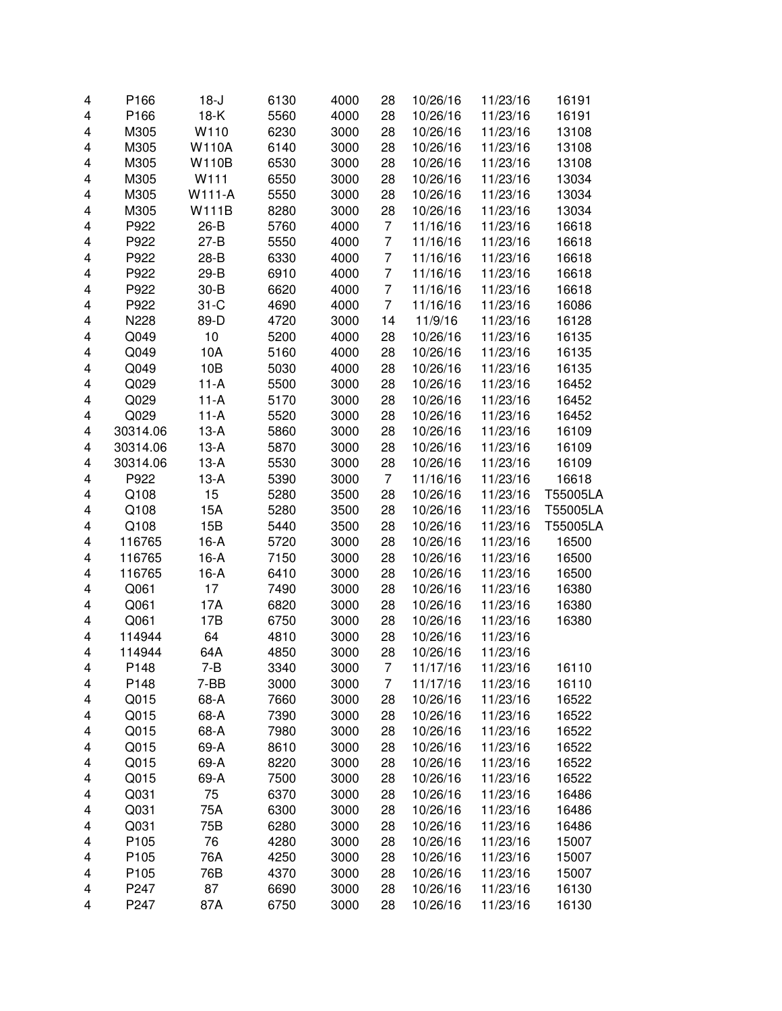| 4 | P166     | $18-J$       | 6130 | 4000 | 28             | 10/26/16 | 11/23/16 | 16191    |
|---|----------|--------------|------|------|----------------|----------|----------|----------|
| 4 | P166     | $18-K$       | 5560 | 4000 | 28             | 10/26/16 | 11/23/16 | 16191    |
| 4 | M305     | W110         | 6230 | 3000 | 28             | 10/26/16 | 11/23/16 | 13108    |
| 4 | M305     | <b>W110A</b> | 6140 | 3000 | 28             | 10/26/16 | 11/23/16 | 13108    |
| 4 | M305     | <b>W110B</b> | 6530 | 3000 | 28             | 10/26/16 | 11/23/16 | 13108    |
| 4 | M305     | W111         | 6550 | 3000 | 28             | 10/26/16 | 11/23/16 | 13034    |
| 4 | M305     | W111-A       | 5550 | 3000 | 28             | 10/26/16 | 11/23/16 | 13034    |
| 4 | M305     | <b>W111B</b> | 8280 | 3000 | 28             | 10/26/16 | 11/23/16 | 13034    |
| 4 | P922     | $26-B$       | 5760 | 4000 | 7              | 11/16/16 | 11/23/16 | 16618    |
| 4 | P922     | $27 - B$     | 5550 | 4000 | 7              | 11/16/16 | 11/23/16 | 16618    |
| 4 | P922     | $28 - B$     | 6330 | 4000 | 7              | 11/16/16 | 11/23/16 | 16618    |
| 4 | P922     | $29-B$       | 6910 | 4000 | 7              | 11/16/16 | 11/23/16 | 16618    |
| 4 | P922     | $30 - B$     | 6620 | 4000 | 7              | 11/16/16 | 11/23/16 | 16618    |
| 4 | P922     | $31-C$       | 4690 | 4000 | $\overline{7}$ | 11/16/16 | 11/23/16 | 16086    |
| 4 | N228     | 89-D         | 4720 | 3000 | 14             | 11/9/16  | 11/23/16 | 16128    |
| 4 | Q049     | 10           | 5200 | 4000 | 28             | 10/26/16 | 11/23/16 | 16135    |
| 4 | Q049     | 10A          | 5160 | 4000 | 28             | 10/26/16 | 11/23/16 | 16135    |
| 4 | Q049     | 10B          | 5030 | 4000 | 28             | 10/26/16 | 11/23/16 | 16135    |
| 4 | Q029     | $11-A$       | 5500 | 3000 | 28             | 10/26/16 | 11/23/16 | 16452    |
| 4 | Q029     | $11-A$       | 5170 | 3000 | 28             | 10/26/16 | 11/23/16 | 16452    |
| 4 | Q029     | $11-A$       | 5520 | 3000 | 28             | 10/26/16 | 11/23/16 | 16452    |
| 4 | 30314.06 | $13-A$       | 5860 | 3000 | 28             | 10/26/16 | 11/23/16 | 16109    |
| 4 | 30314.06 | $13-A$       | 5870 | 3000 | 28             | 10/26/16 | 11/23/16 | 16109    |
| 4 | 30314.06 | $13-A$       | 5530 | 3000 | 28             | 10/26/16 | 11/23/16 | 16109    |
| 4 | P922     | $13-A$       | 5390 | 3000 | 7              | 11/16/16 | 11/23/16 | 16618    |
| 4 | Q108     | 15           | 5280 | 3500 | 28             | 10/26/16 | 11/23/16 | T55005LA |
| 4 | Q108     | 15A          | 5280 | 3500 | 28             | 10/26/16 | 11/23/16 | T55005LA |
| 4 | Q108     | 15B          | 5440 | 3500 | 28             | 10/26/16 | 11/23/16 | T55005LA |
| 4 | 116765   | $16-A$       | 5720 | 3000 | 28             | 10/26/16 | 11/23/16 | 16500    |
| 4 | 116765   | $16-A$       | 7150 | 3000 | 28             | 10/26/16 | 11/23/16 | 16500    |
| 4 | 116765   | $16-A$       | 6410 | 3000 | 28             | 10/26/16 | 11/23/16 | 16500    |
| 4 | Q061     | 17           | 7490 | 3000 | 28             | 10/26/16 | 11/23/16 | 16380    |
| 4 | Q061     | 17A          | 6820 | 3000 | 28             | 10/26/16 | 11/23/16 | 16380    |
| 4 | Q061     | 17B          | 6750 | 3000 | 28             | 10/26/16 | 11/23/16 | 16380    |
| 4 | 114944   | 64           | 4810 | 3000 | 28             | 10/26/16 | 11/23/16 |          |
| 4 | 114944   | 64A          | 4850 | 3000 | 28             | 10/26/16 | 11/23/16 |          |
| 4 | P148     | 7-B          | 3340 | 3000 | 7              | 11/17/16 | 11/23/16 | 16110    |
| 4 | P148     | $7-BB$       | 3000 | 3000 | 7              | 11/17/16 | 11/23/16 | 16110    |
| 4 | Q015     | 68-A         | 7660 | 3000 | 28             | 10/26/16 | 11/23/16 | 16522    |
| 4 | Q015     | 68-A         | 7390 | 3000 | 28             | 10/26/16 | 11/23/16 | 16522    |
| 4 | Q015     | 68-A         | 7980 | 3000 | 28             | 10/26/16 | 11/23/16 | 16522    |
| 4 | Q015     | 69-A         | 8610 | 3000 | 28             | 10/26/16 | 11/23/16 | 16522    |
| 4 | Q015     | 69-A         | 8220 | 3000 | 28             | 10/26/16 | 11/23/16 | 16522    |
| 4 | Q015     | 69-A         | 7500 | 3000 | 28             | 10/26/16 | 11/23/16 | 16522    |
| 4 | Q031     | 75           | 6370 | 3000 | 28             | 10/26/16 | 11/23/16 | 16486    |
| 4 | Q031     | 75A          | 6300 | 3000 | 28             | 10/26/16 | 11/23/16 | 16486    |
| 4 | Q031     | 75B          | 6280 | 3000 | 28             | 10/26/16 | 11/23/16 | 16486    |
| 4 | P105     | 76           | 4280 | 3000 | 28             | 10/26/16 | 11/23/16 | 15007    |
| 4 | P105     | 76A          | 4250 | 3000 | 28             | 10/26/16 | 11/23/16 | 15007    |
| 4 | P105     | 76B          | 4370 | 3000 | 28             | 10/26/16 | 11/23/16 | 15007    |
| 4 | P247     | 87           | 6690 | 3000 | 28             | 10/26/16 | 11/23/16 | 16130    |
| 4 | P247     | 87A          | 6750 | 3000 | 28             | 10/26/16 | 11/23/16 | 16130    |